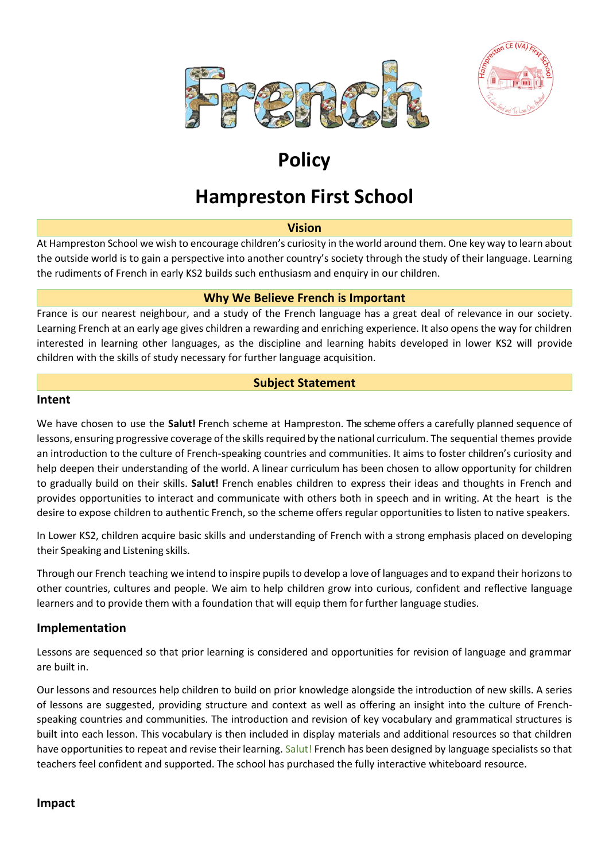



# **Policy**

## **Hampreston First School**

#### **Vision**

At Hampreston School we wish to encourage children's curiosity in the world around them. One key way to learn about the outside world is to gain a perspective into another country's society through the study of their language. Learning the rudiments of French in early KS2 builds such enthusiasm and enquiry in our children.

#### **Why We Believe French is Important**

France is our nearest neighbour, and a study of the French language has a great deal of relevance in our society. Learning French at an early age gives children a rewarding and enriching experience. It also opens the way for children interested in learning other languages, as the discipline and learning habits developed in lower KS2 will provide children with the skills of study necessary for further language acquisition.

## **Subject Statement**

#### **Intent**

We have chosen to use the **Salut!** French scheme at Hampreston. The scheme offers a carefully planned sequence of lessons, ensuring progressive coverage of the skills required by the national curriculum. The sequential themes provide an introduction to the culture of French-speaking countries and communities. It aims to foster children's curiosity and help deepen their understanding of the world. A linear curriculum has been chosen to allow opportunity for children to gradually build on their skills. **Salut!** French enables children to express their ideas and thoughts in French and provides opportunities to interact and communicate with others both in speech and in writing. At the heart is the desire to expose children to authentic French, so the scheme offers regular opportunities to listen to native speakers.

In Lower KS2, children acquire basic skills and understanding of French with a strong emphasis placed on developing their Speaking and Listening skills.

Through our French teaching we intend to inspire pupilsto develop a love of languages and to expand their horizonsto other countries, cultures and people. We aim to help children grow into curious, confident and reflective language learners and to provide them with a foundation that will equip them for further language studies.

## **Implementation**

Lessons are sequenced so that prior learning is considered and opportunities for revision of language and grammar are built in.

Our lessons and resources help children to build on prior knowledge alongside the introduction of new skills. A series of lessons are suggested, providing structure and context as well as offering an insight into the culture of Frenchspeaking countries and communities. The introduction and revision of key vocabulary and grammatical structures is built into each lesson. This vocabulary is then included in display materials and additional resources so that children have opportunities to repeat and revise their learning. Salut! French has been designed by language specialists so that teachers feel confident and supported. The school has purchased the fully interactive whiteboard resource.

#### **Impact**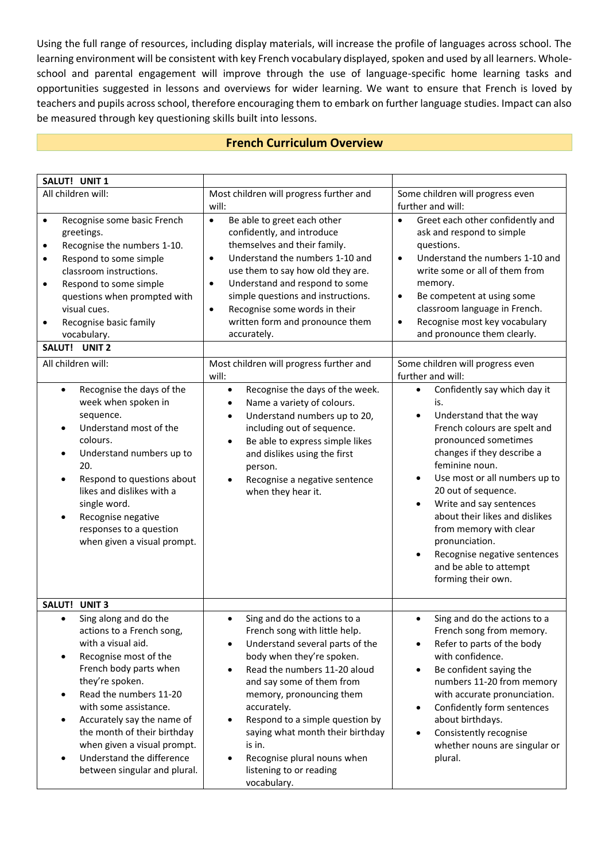Using the full range of resources, including display materials, will increase the profile of languages across school. The learning environment will be consistent with key French vocabulary displayed, spoken and used by all learners. Wholeschool and parental engagement will improve through the use of language-specific home learning tasks and opportunities suggested in lessons and overviews for wider learning. We want to ensure that French is loved by teachers and pupils across school, therefore encouraging them to embark on further language studies. Impact can also be measured through key questioning skills built into lessons.

## **French Curriculum Overview**

| SALUT! UNIT 1                                                                                                                                                                                                                                                                                                                                                                                                                                                                                                                                                                                                                                                                                                                          |                                                                                                                                                                                                                                                                                                                                                                                                                                                                                                                                                                                                                                                                                                                                                      |                                                                                                                                                                                                                                                                                                                                                                                                                                                                                                                                                                                                                                                                                                                                                                                                                                                                                        |
|----------------------------------------------------------------------------------------------------------------------------------------------------------------------------------------------------------------------------------------------------------------------------------------------------------------------------------------------------------------------------------------------------------------------------------------------------------------------------------------------------------------------------------------------------------------------------------------------------------------------------------------------------------------------------------------------------------------------------------------|------------------------------------------------------------------------------------------------------------------------------------------------------------------------------------------------------------------------------------------------------------------------------------------------------------------------------------------------------------------------------------------------------------------------------------------------------------------------------------------------------------------------------------------------------------------------------------------------------------------------------------------------------------------------------------------------------------------------------------------------------|----------------------------------------------------------------------------------------------------------------------------------------------------------------------------------------------------------------------------------------------------------------------------------------------------------------------------------------------------------------------------------------------------------------------------------------------------------------------------------------------------------------------------------------------------------------------------------------------------------------------------------------------------------------------------------------------------------------------------------------------------------------------------------------------------------------------------------------------------------------------------------------|
| All children will:                                                                                                                                                                                                                                                                                                                                                                                                                                                                                                                                                                                                                                                                                                                     | Most children will progress further and                                                                                                                                                                                                                                                                                                                                                                                                                                                                                                                                                                                                                                                                                                              | Some children will progress even                                                                                                                                                                                                                                                                                                                                                                                                                                                                                                                                                                                                                                                                                                                                                                                                                                                       |
|                                                                                                                                                                                                                                                                                                                                                                                                                                                                                                                                                                                                                                                                                                                                        | will:                                                                                                                                                                                                                                                                                                                                                                                                                                                                                                                                                                                                                                                                                                                                                | further and will:                                                                                                                                                                                                                                                                                                                                                                                                                                                                                                                                                                                                                                                                                                                                                                                                                                                                      |
| Recognise some basic French<br>$\bullet$<br>greetings.<br>Recognise the numbers 1-10.<br>$\bullet$<br>Respond to some simple<br>$\bullet$<br>classroom instructions.<br>Respond to some simple<br>$\bullet$<br>questions when prompted with<br>visual cues.<br>Recognise basic family<br>$\bullet$<br>vocabulary.<br><b>SALUT!</b><br>UNIT <sub>2</sub><br>All children will:<br>Recognise the days of the<br>$\bullet$<br>week when spoken in<br>sequence.<br>Understand most of the<br>$\bullet$<br>colours.<br>Understand numbers up to<br>$\bullet$<br>20.<br>Respond to questions about<br>$\bullet$<br>likes and dislikes with a<br>single word.<br>Recognise negative<br>responses to a question<br>when given a visual prompt. | $\bullet$<br>Be able to greet each other<br>confidently, and introduce<br>themselves and their family.<br>Understand the numbers 1-10 and<br>$\bullet$<br>use them to say how old they are.<br>Understand and respond to some<br>$\bullet$<br>simple questions and instructions.<br>Recognise some words in their<br>$\bullet$<br>written form and pronounce them<br>accurately.<br>Most children will progress further and<br>will:<br>Recognise the days of the week.<br>$\bullet$<br>Name a variety of colours.<br>٠<br>Understand numbers up to 20,<br>$\bullet$<br>including out of sequence.<br>Be able to express simple likes<br>$\bullet$<br>and dislikes using the first<br>person.<br>Recognise a negative sentence<br>when they hear it. | Greet each other confidently and<br>$\bullet$<br>ask and respond to simple<br>questions.<br>Understand the numbers 1-10 and<br>$\bullet$<br>write some or all of them from<br>memory.<br>Be competent at using some<br>$\bullet$<br>classroom language in French.<br>Recognise most key vocabulary<br>$\bullet$<br>and pronounce them clearly.<br>Some children will progress even<br>further and will:<br>Confidently say which day it<br>$\bullet$<br>is.<br>Understand that the way<br>$\bullet$<br>French colours are spelt and<br>pronounced sometimes<br>changes if they describe a<br>feminine noun.<br>Use most or all numbers up to<br>$\bullet$<br>20 out of sequence.<br>Write and say sentences<br>$\bullet$<br>about their likes and dislikes<br>from memory with clear<br>pronunciation.<br>Recognise negative sentences<br>and be able to attempt<br>forming their own. |
| <b>UNIT3</b><br>SALUT!                                                                                                                                                                                                                                                                                                                                                                                                                                                                                                                                                                                                                                                                                                                 |                                                                                                                                                                                                                                                                                                                                                                                                                                                                                                                                                                                                                                                                                                                                                      |                                                                                                                                                                                                                                                                                                                                                                                                                                                                                                                                                                                                                                                                                                                                                                                                                                                                                        |
| Sing along and do the<br>$\bullet$<br>actions to a French song,<br>with a visual aid.<br>Recognise most of the<br>French body parts when<br>they're spoken.<br>Read the numbers 11-20<br>$\bullet$<br>with some assistance.<br>Accurately say the name of<br>$\bullet$<br>the month of their birthday<br>when given a visual prompt.<br>Understand the difference<br>$\bullet$<br>between singular and plural.                                                                                                                                                                                                                                                                                                                         | Sing and do the actions to a<br>$\bullet$<br>French song with little help.<br>Understand several parts of the<br>$\bullet$<br>body when they're spoken.<br>Read the numbers 11-20 aloud<br>and say some of them from<br>memory, pronouncing them<br>accurately.<br>Respond to a simple question by<br>٠<br>saying what month their birthday<br>is in.<br>Recognise plural nouns when<br>listening to or reading<br>vocabulary.                                                                                                                                                                                                                                                                                                                       | Sing and do the actions to a<br>French song from memory.<br>Refer to parts of the body<br>with confidence.<br>Be confident saying the<br>$\bullet$<br>numbers 11-20 from memory<br>with accurate pronunciation.<br>Confidently form sentences<br>٠<br>about birthdays.<br>Consistently recognise<br>whether nouns are singular or<br>plural.                                                                                                                                                                                                                                                                                                                                                                                                                                                                                                                                           |